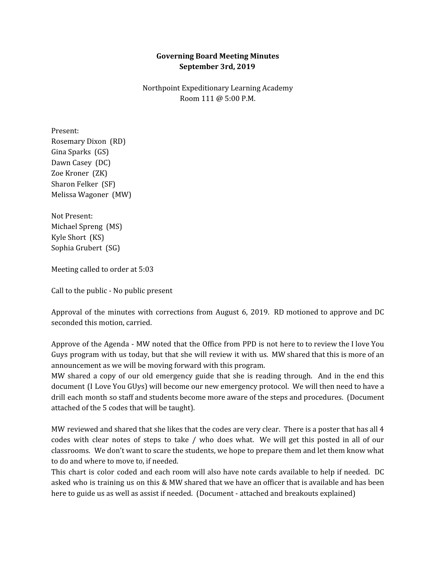## **Governing Board Meeting Minutes September 3rd, 2019**

Northpoint Expeditionary Learning Academy Room 111 @ 5:00 P.M.

Present: Rosemary Dixon (RD) Gina Sparks (GS) Dawn Casey (DC) Zoe Kroner (ZK) Sharon Felker (SF) Melissa Wagoner (MW)

Not Present: Michael Spreng (MS) Kyle Short (KS) Sophia Grubert (SG)

Meeting called to order at 5:03

Call to the public - No public present

Approval of the minutes with corrections from August 6, 2019. RD motioned to approve and DC seconded this motion, carried.

Approve of the Agenda - MW noted that the Office from PPD is not here to to review the I love You Guys program with us today, but that she will review it with us. MW shared that this is more of an announcement as we will be moving forward with this program.

MW shared a copy of our old emergency guide that she is reading through. And in the end this document (I Love You GUys) will become our new emergency protocol. We will then need to have a drill each month so staff and students become more aware of the steps and procedures. (Document attached of the 5 codes that will be taught).

MW reviewed and shared that she likes that the codes are very clear. There is a poster that has all 4 codes with clear notes of steps to take / who does what. We will get this posted in all of our classrooms. We don't want to scare the students, we hope to prepare them and let them know what to do and where to move to, if needed.

This chart is color coded and each room will also have note cards available to help if needed. DC asked who is training us on this & MW shared that we have an officer that is available and has been here to guide us as well as assist if needed. (Document - attached and breakouts explained)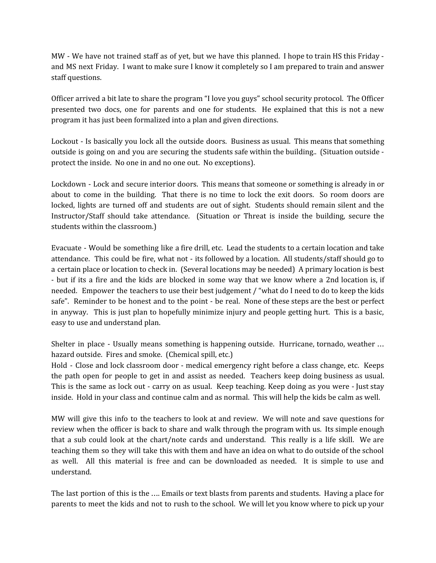MW - We have not trained staff as of yet, but we have this planned. I hope to train HS this Friday and MS next Friday. I want to make sure I know it completely so I am prepared to train and answer staff questions.

Officer arrived a bit late to share the program "I love you guys" school security protocol. The Officer presented two docs, one for parents and one for students. He explained that this is not a new program it has just been formalized into a plan and given directions.

Lockout - Is basically you lock all the outside doors. Business as usual. This means that something outside is going on and you are securing the students safe within the building.. (Situation outside protect the inside. No one in and no one out. No exceptions).

Lockdown - Lock and secure interior doors. This means that someone or something is already in or about to come in the building. That there is no time to lock the exit doors. So room doors are locked, lights are turned off and students are out of sight. Students should remain silent and the Instructor/Staff should take attendance. (Situation or Threat is inside the building, secure the students within the classroom.)

Evacuate - Would be something like a fire drill, etc. Lead the students to a certain location and take attendance. This could be fire, what not - its followed by a location. All students/staff should go to a certain place or location to check in. (Several locations may be needed) A primary location is best - but if its a fire and the kids are blocked in some way that we know where a 2nd location is, if needed. Empower the teachers to use their best judgement / "what do I need to do to keep the kids safe". Reminder to be honest and to the point - be real. None of these steps are the best or perfect in anyway. This is just plan to hopefully minimize injury and people getting hurt. This is a basic, easy to use and understand plan.

Shelter in place - Usually means something is happening outside. Hurricane, tornado, weather … hazard outside. Fires and smoke. (Chemical spill, etc.)

Hold - Close and lock classroom door - medical emergency right before a class change, etc. Keeps the path open for people to get in and assist as needed. Teachers keep doing business as usual. This is the same as lock out - carry on as usual. Keep teaching. Keep doing as you were - Just stay inside. Hold in your class and continue calm and as normal. This will help the kids be calm as well.

MW will give this info to the teachers to look at and review. We will note and save questions for review when the officer is back to share and walk through the program with us. Its simple enough that a sub could look at the chart/note cards and understand. This really is a life skill. We are teaching them so they will take this with them and have an idea on what to do outside of the school as well. All this material is free and can be downloaded as needed. It is simple to use and understand.

The last portion of this is the …. Emails or text blasts from parents and students. Having a place for parents to meet the kids and not to rush to the school. We will let you know where to pick up your